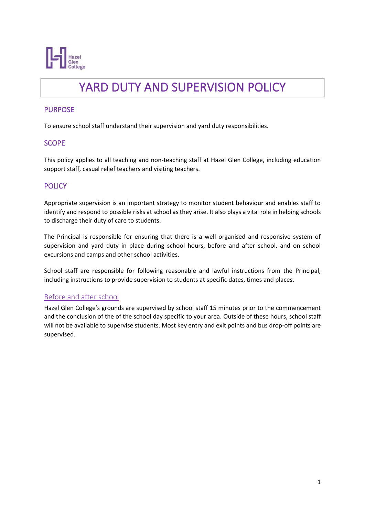

# YARD DUTY AND SUPERVISION POLICY

## PURPOSE

To ensure school staff understand their supervision and yard duty responsibilities.

## **SCOPE**

This policy applies to all teaching and non-teaching staff at Hazel Glen College, including education support staff, casual relief teachers and visiting teachers.

# **POLICY**

Appropriate supervision is an important strategy to monitor student behaviour and enables staff to identify and respond to possible risks at school as they arise. It also plays a vital role in helping schools to discharge their duty of care to students.

The Principal is responsible for ensuring that there is a well organised and responsive system of supervision and yard duty in place during school hours, before and after school, and on school excursions and camps and other school activities.

School staff are responsible for following reasonable and lawful instructions from the Principal, including instructions to provide supervision to students at specific dates, times and places.

## Before and after school

Hazel Glen College's grounds are supervised by school staff 15 minutes prior to the commencement and the conclusion of the of the school day specific to your area. Outside of these hours, school staff will not be available to supervise students. Most key entry and exit points and bus drop-off points are supervised.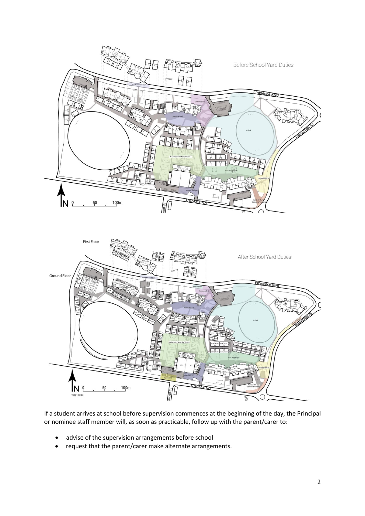

If a student arrives at school before supervision commences at the beginning of the day, the Principal or nominee staff member will, as soon as practicable, follow up with the parent/carer to:

- advise of the supervision arrangements before school
- request that the parent/carer make alternate arrangements.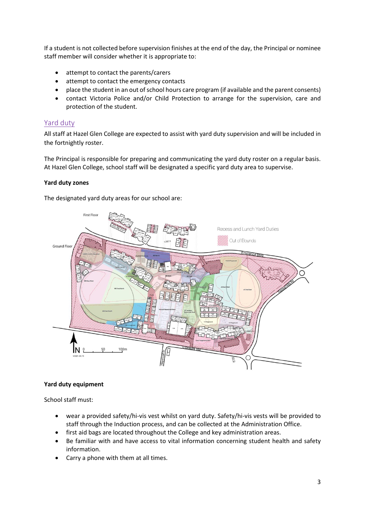If a student is not collected before supervision finishes at the end of the day, the Principal or nominee staff member will consider whether it is appropriate to:

- attempt to contact the parents/carers
- attempt to contact the emergency contacts
- place the student in an out of school hours care program (if available and the parent consents)
- contact Victoria Police and/or Child Protection to arrange for the supervision, care and protection of the student.

## Yard duty

All staff at Hazel Glen College are expected to assist with yard duty supervision and will be included in the fortnightly roster.

The Principal is responsible for preparing and communicating the yard duty roster on a regular basis. At Hazel Glen College, school staff will be designated a specific yard duty area to supervise.

#### **Yard duty zones**

The designated yard duty areas for our school are:



#### **Yard duty equipment**

School staff must:

- wear a provided safety/hi-vis vest whilst on yard duty. Safety/hi-vis vests will be provided to staff through the Induction process, and can be collected at the Administration Office.
- first aid bags are located throughout the College and key administration areas.
- Be familiar with and have access to vital information concerning student health and safety information.
- Carry a phone with them at all times.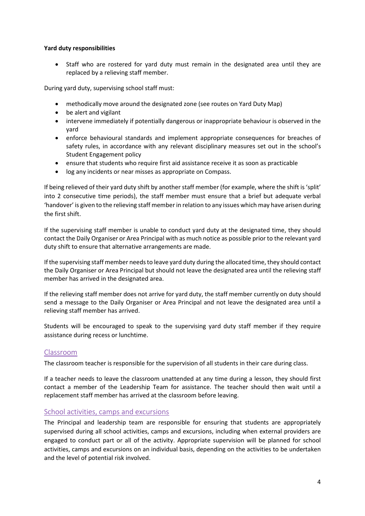#### **Yard duty responsibilities**

• Staff who are rostered for yard duty must remain in the designated area until they are replaced by a relieving staff member.

During yard duty, supervising school staff must:

- methodically move around the designated zone (see routes on Yard Duty Map)
- be alert and vigilant
- intervene immediately if potentially dangerous or inappropriate behaviour is observed in the yard
- enforce behavioural standards and implement appropriate consequences for breaches of safety rules, in accordance with any relevant disciplinary measures set out in the school's Student Engagement policy
- ensure that students who require first aid assistance receive it as soon as practicable
- log any incidents or near misses as appropriate on Compass.

If being relieved of their yard duty shift by another staff member (for example, where the shift is 'split' into 2 consecutive time periods), the staff member must ensure that a brief but adequate verbal 'handover' is given to the relieving staff member in relation to any issues which may have arisen during the first shift.

If the supervising staff member is unable to conduct yard duty at the designated time, they should contact the Daily Organiser or Area Principal with as much notice as possible prior to the relevant yard duty shift to ensure that alternative arrangements are made.

If the supervising staff member needs to leave yard duty during the allocated time, they should contact the Daily Organiser or Area Principal but should not leave the designated area until the relieving staff member has arrived in the designated area.

If the relieving staff member does not arrive for yard duty, the staff member currently on duty should send a message to the Daily Organiser or Area Principal and not leave the designated area until a relieving staff member has arrived.

Students will be encouraged to speak to the supervising yard duty staff member if they require assistance during recess or lunchtime.

#### Classroom

The classroom teacher is responsible for the supervision of all students in their care during class.

If a teacher needs to leave the classroom unattended at any time during a lesson, they should first contact a member of the Leadership Team for assistance. The teacher should then wait until a replacement staff member has arrived at the classroom before leaving.

#### School activities, camps and excursions

The Principal and leadership team are responsible for ensuring that students are appropriately supervised during all school activities, camps and excursions, including when external providers are engaged to conduct part or all of the activity. Appropriate supervision will be planned for school activities, camps and excursions on an individual basis, depending on the activities to be undertaken and the level of potential risk involved.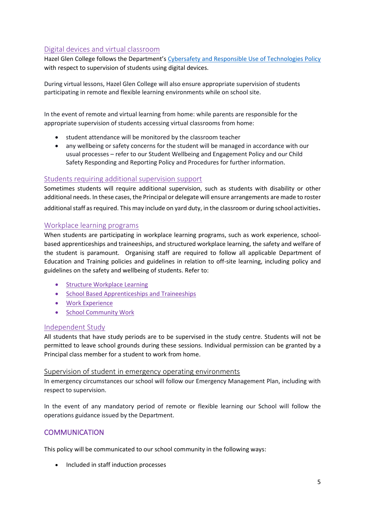# Digital devices and virtual classroom

Hazel Glen College follows the Department's [Cybersafety and Responsible Use of Technologies Policy](https://www2.education.vic.gov.au/pal/cybersafety/policy) with respect to supervision of students using digital devices.

During virtual lessons, Hazel Glen College will also ensure appropriate supervision of students participating in remote and flexible learning environments while on school site.

In the event of remote and virtual learning from home: while parents are responsible for the appropriate supervision of students accessing virtual classrooms from home:

- student attendance will be monitored by the classroom teacher
- any wellbeing or safety concerns for the student will be managed in accordance with our usual processes – refer to our Student Wellbeing and Engagement Policy and our Child Safety Responding and Reporting Policy and Procedures for further information.

## Students requiring additional supervision support

Sometimes students will require additional supervision, such as students with disability or other additional needs. In these cases, the Principal or delegate will ensure arrangements are made to roster additional staff as required. This may include on yard duty, in the classroom or during school activities.

#### Workplace learning programs

When students are participating in workplace learning programs, such as work experience, schoolbased apprenticeships and traineeships, and structured workplace learning, the safety and welfare of the student is paramount. Organising staff are required to follow all applicable Department of Education and Training policies and guidelines in relation to off-site learning, including policy and guidelines on the safety and wellbeing of students. Refer to:

- [Structure Workplace Learning](https://www2.education.vic.gov.au/pal/structured-workplace-learning/policy)
- [School Based Apprenticeships and Traineeships](https://www2.education.vic.gov.au/pal/school-based-apprenticeships-and-traineeships/policy)
- [Work Experience](https://www2.education.vic.gov.au/pal/work-experience/policy)
- [School Community Work](https://www2.education.vic.gov.au/pal/school-community-work/policy)

#### Independent Study

All students that have study periods are to be supervised in the study centre. Students will not be permitted to leave school grounds during these sessions. Individual permission can be granted by a Principal class member for a student to work from home.

#### Supervision of student in emergency operating environments

In emergency circumstances our school will follow our Emergency Management Plan, including with respect to supervision.

In the event of any mandatory period of remote or flexible learning our School will follow the operations guidance issued by the Department.

## **COMMUNICATION**

This policy will be communicated to our school community in the following ways:

• Included in staff induction processes